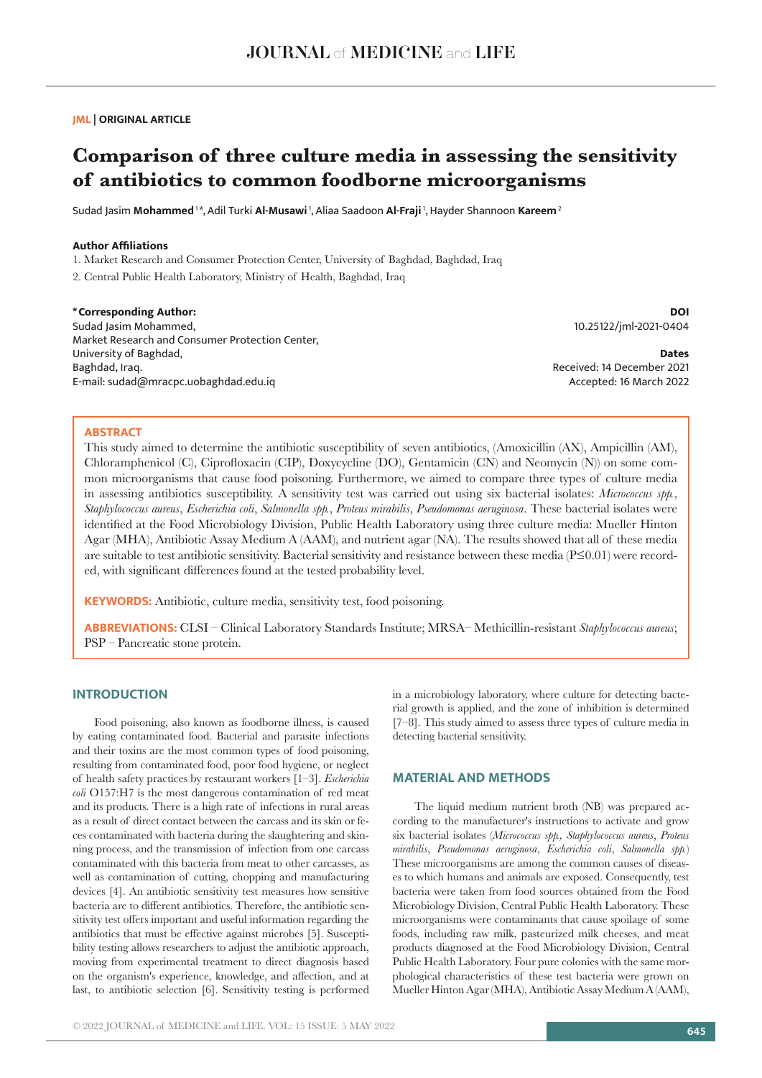## **JML | ORIGINAL ARTICLE**

# **Comparison of three culture media in assessing the sensitivity of antibiotics to common foodborne microorganisms**

Sudad Jasim **Mohammed** 1 \*, Adil Turki **Al-Musawi** 1, Aliaa Saadoon **Al-Fraji** 1, Hayder Shannoon **Kareem**<sup>2</sup>

# **Author Affiliations**

1. Market Research and Consumer Protection Center, University of Baghdad, Baghdad, Iraq

2. Central Public Health Laboratory, Ministry of Health, Baghdad, Iraq

**\*Corresponding Author:** Sudad Jasim Mohammed, Market Research and Consumer Protection Center, University of Baghdad, Baghdad, Iraq. E-mail: sudad@mracpc.uobaghdad.edu.iq

**DOI** 10.25122/jml-2021-0404

**Dates** Received: 14 December 2021 Accepted: 16 March 2022

## **ABSTRACT**

This study aimed to determine the antibiotic susceptibility of seven antibiotics, (Amoxicillin (AX), Ampicillin (AM), Chloramphenicol (C), Ciprofloxacin (CIP), Doxycycline (DO), Gentamicin (CN) and Neomycin (N)) on some common microorganisms that cause food poisoning. Furthermore, we aimed to compare three types of culture media in assessing antibiotics susceptibility. A sensitivity test was carried out using six bacterial isolates: *Micrococcus spp.*, *Staphylococcus aureus*, *Escherichia coli*, *Salmonella spp.*, *Proteus mirabilis*, *Pseudomonas aeruginosa*. These bacterial isolates were identified at the Food Microbiology Division, Public Health Laboratory using three culture media: Mueller Hinton Agar (MHA), Antibiotic Assay Medium A (AAM), and nutrient agar (NA). The results showed that all of these media are suitable to test antibiotic sensitivity. Bacterial sensitivity and resistance between these media (P≤0.01) were recorded, with significant differences found at the tested probability level.

**KEYWORDS:** Antibiotic, culture media, sensitivity test, food poisoning.

**ABBREVIATIONS:** CLSI – Clinical Laboratory Standards Institute; MRSA– Methicillin-resistant *Staphylococcus aureus*; PSP – Pancreatic stone protein.

# **INTRODUCTION**

Food poisoning, also known as foodborne illness, is caused by eating contaminated food. Bacterial and parasite infections and their toxins are the most common types of food poisoning, resulting from contaminated food, poor food hygiene, or neglect of health safety practices by restaurant workers [1–3]. *Escherichia coli* O157:H7 is the most dangerous contamination of red meat and its products. There is a high rate of infections in rural areas as a result of direct contact between the carcass and its skin or feces contaminated with bacteria during the slaughtering and skinning process, and the transmission of infection from one carcass contaminated with this bacteria from meat to other carcasses, as well as contamination of cutting, chopping and manufacturing devices [4]. An antibiotic sensitivity test measures how sensitive bacteria are to different antibiotics. Therefore, the antibiotic sensitivity test offers important and useful information regarding the antibiotics that must be effective against microbes [5]. Susceptibility testing allows researchers to adjust the antibiotic approach, moving from experimental treatment to direct diagnosis based on the organism's experience, knowledge, and affection, and at last, to antibiotic selection [6]. Sensitivity testing is performed in a microbiology laboratory, where culture for detecting bacterial growth is applied, and the zone of inhibition is determined [7–8]. This study aimed to assess three types of culture media in detecting bacterial sensitivity.

# **MATERIAL AND METHODS**

The liquid medium nutrient broth (NB) was prepared according to the manufacturer's instructions to activate and grow six bacterial isolates (*Micrococcus spp., Staphylococcus aureus*, *Proteus mirabilis*, *Pseudomonas aeruginosa*, *Escherichia coli*, *Salmonella spp.*) These microorganisms are among the common causes of diseases to which humans and animals are exposed. Consequently, test bacteria were taken from food sources obtained from the Food Microbiology Division, Central Public Health Laboratory. These microorganisms were contaminants that cause spoilage of some foods, including raw milk, pasteurized milk cheeses, and meat products diagnosed at the Food Microbiology Division, Central Public Health Laboratory. Four pure colonies with the same morphological characteristics of these test bacteria were grown on Mueller Hinton Agar (MHA), Antibiotic Assay Medium A (AAM),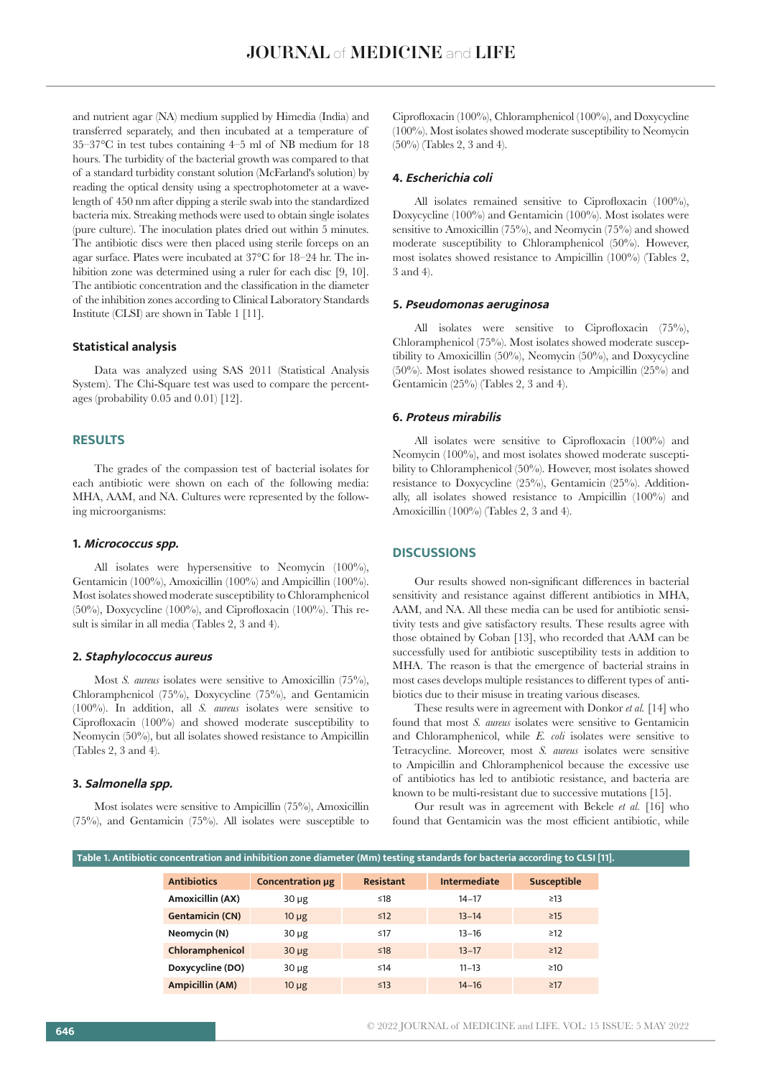and nutrient agar (NA) medium supplied by Himedia (India) and transferred separately, and then incubated at a temperature of 35–37°C in test tubes containing 4–5 ml of NB medium for 18 hours. The turbidity of the bacterial growth was compared to that of a standard turbidity constant solution (McFarland's solution) by reading the optical density using a spectrophotometer at a wavelength of 450 nm after dipping a sterile swab into the standardized bacteria mix. Streaking methods were used to obtain single isolates (pure culture). The inoculation plates dried out within 5 minutes. The antibiotic discs were then placed using sterile forceps on an agar surface. Plates were incubated at 37°C for 18–24 hr. The inhibition zone was determined using a ruler for each disc [9, 10]. The antibiotic concentration and the classification in the diameter of the inhibition zones according to Clinical Laboratory Standards Institute (CLSI) are shown in Table 1 [11].

## **Statistical analysis**

Data was analyzed using SAS 2011 (Statistical Analysis System). The Chi-Square test was used to compare the percentages (probability 0.05 and 0.01) [12].

# **RESULTS**

The grades of the compassion test of bacterial isolates for each antibiotic were shown on each of the following media: MHA, AAM, and NA. Cultures were represented by the following microorganisms:

#### **1. Micrococcus spp.**

All isolates were hypersensitive to Neomycin (100%), Gentamicin (100%), Amoxicillin (100%) and Ampicillin (100%). Most isolates showed moderate susceptibility to Chloramphenicol  $(50\%)$ , Doxycycline  $(100\%)$ , and Ciprofloxacin  $(100\%)$ . This result is similar in all media (Tables 2, 3 and 4).

#### **2. Staphylococcus aureus**

Most *S. aureus* isolates were sensitive to Amoxicillin (75%), Chloramphenicol (75%), Doxycycline (75%), and Gentamicin (100%). In addition, all *S. aureus* isolates were sensitive to Ciprofloxacin (100%) and showed moderate susceptibility to Neomycin (50%), but all isolates showed resistance to Ampicillin (Tables 2, 3 and 4).

#### **3. Salmonella spp.**

Most isolates were sensitive to Ampicillin (75%), Amoxicillin  $(75\%)$ , and Gentamicin  $(75\%)$ . All isolates were susceptible to

Ciprofloxacin (100%), Chloramphenicol (100%), and Doxycycline (100%). Most isolates showed moderate susceptibility to Neomycin (50%) (Tables 2, 3 and 4).

#### **4. Escherichia coli**

All isolates remained sensitive to Ciprofloxacin (100%), Doxycycline (100%) and Gentamicin (100%). Most isolates were sensitive to Amoxicillin (75%), and Neomycin (75%) and showed moderate susceptibility to Chloramphenicol (50%). However, most isolates showed resistance to Ampicillin (100%) (Tables 2, 3 and 4).

# **5. Pseudomonas aeruginosa**

All isolates were sensitive to Ciprofloxacin (75%), Chloramphenicol (75%). Most isolates showed moderate susceptibility to Amoxicillin (50%), Neomycin (50%), and Doxycycline (50%). Most isolates showed resistance to Ampicillin (25%) and Gentamicin (25%) (Tables 2, 3 and 4).

#### **6. Proteus mirabilis**

All isolates were sensitive to Ciprofloxacin (100%) and Neomycin (100%), and most isolates showed moderate susceptibility to Chloramphenicol (50%). However, most isolates showed resistance to Doxycycline (25%), Gentamicin (25%). Additionally, all isolates showed resistance to Ampicillin (100%) and Amoxicillin (100%) (Tables 2, 3 and 4).

### **DISCUSSIONS**

Our results showed non-significant differences in bacterial sensitivity and resistance against different antibiotics in MHA, AAM, and NA. All these media can be used for antibiotic sensitivity tests and give satisfactory results. These results agree with those obtained by Coban [13], who recorded that AAM can be successfully used for antibiotic susceptibility tests in addition to MHA. The reason is that the emergence of bacterial strains in most cases develops multiple resistances to different types of antibiotics due to their misuse in treating various diseases.

These results were in agreement with Donkor *et al.* [14] who found that most *S. aureus* isolates were sensitive to Gentamicin and Chloramphenicol, while *E. coli* isolates were sensitive to Tetracycline. Moreover, most *S. aureus* isolates were sensitive to Ampicillin and Chloramphenicol because the excessive use of antibiotics has led to antibiotic resistance, and bacteria are known to be multi-resistant due to successive mutations [15].

Our result was in agreement with Bekele *et al.* [16] who found that Gentamicin was the most efficient antibiotic, while

|                        | Table 1. Antibiotic concentration and inhibition zone diameter (Mm) testing standards for bacteria according to CLSI [11]. |                  |                     |                    |  |  |  |  |  |
|------------------------|----------------------------------------------------------------------------------------------------------------------------|------------------|---------------------|--------------------|--|--|--|--|--|
| <b>Antibiotics</b>     | Concentration µg                                                                                                           | <b>Resistant</b> | <b>Intermediate</b> | <b>Susceptible</b> |  |  |  |  |  |
| Amoxicillin (AX)       | $30 \mu g$                                                                                                                 | $≤18$            | $14 - 17$           | $\geq$ 13          |  |  |  |  |  |
| <b>Gentamicin (CN)</b> | $10 \mu g$                                                                                                                 | $\leq 12$        | $13 - 14$           | $\geq$ 15          |  |  |  |  |  |
| Neomycin (N)           | $30 \mu g$                                                                                                                 | ≤17              | $13 - 16$           | $\geq$ 12          |  |  |  |  |  |
| Chloramphenicol        | $30 \mu g$                                                                                                                 | $≤18$            | $13 - 17$           | $\geq$ 12          |  |  |  |  |  |
| Doxycycline (DO)       | $30 \mu g$                                                                                                                 | ≤14              | $11 - 13$           | $\geq 10$          |  |  |  |  |  |
| <b>Ampicillin (AM)</b> | $10 \mu g$                                                                                                                 | $\leq$ 13        | $14 - 16$           | $\geq$ 17          |  |  |  |  |  |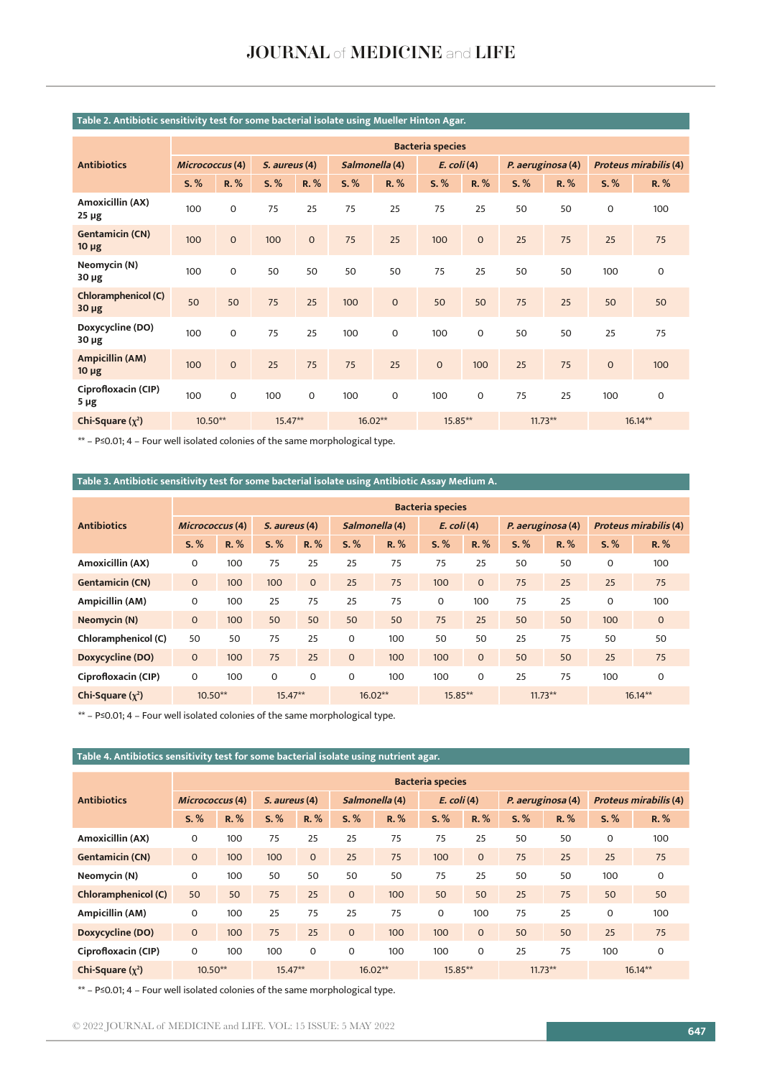|                                          |                         |              |               |              |                |              | $\cdot$       |                     |                   |      |                              |      |
|------------------------------------------|-------------------------|--------------|---------------|--------------|----------------|--------------|---------------|---------------------|-------------------|------|------------------------------|------|
| <b>Antibiotics</b>                       | <b>Bacteria species</b> |              |               |              |                |              |               |                     |                   |      |                              |      |
|                                          | Micrococcus (4)         |              | S. aureus (4) |              | Salmonella (4) |              | $E.$ coli (4) |                     | P. aeruginosa (4) |      | <b>Proteus mirabilis (4)</b> |      |
|                                          | S. %                    | R. %         | S. %          | R. %         | S. %           | R. %         | S. %          | R. %                | S. %              | R. % | S. %                         | R. % |
| <b>Amoxicillin (AX)</b><br>$25 \mu g$    | 100                     | $\mathbf 0$  | 75            | 25           | 75             | 25           | 75            | 25                  | 50                | 50   | $\mathbf 0$                  | 100  |
| <b>Gentamicin (CN)</b><br>$10 \mu g$     | 100                     | $\mathbf{O}$ | 100           | $\mathbf{O}$ | 75             | 25           | 100           | $\mathsf{O}\xspace$ | 25                | 75   | 25                           | 75   |
| Neomycin (N)<br>$30 \mu g$               | 100                     | $\mathbf 0$  | 50            | 50           | 50             | 50           | 75            | 25                  | 50                | 50   | 100                          | 0    |
| <b>Chloramphenicol (C)</b><br>$30 \mu g$ | 50                      | 50           | 75            | 25           | 100            | $\mathbf{O}$ | 50            | 50                  | 75                | 25   | 50                           | 50   |
| Doxycycline (DO)<br>$30 \mu g$           | 100                     | $\mathbf 0$  | 75            | 25           | 100            | $\mathbf 0$  | 100           | $\mathbf 0$         | 50                | 50   | 25                           | 75   |
| <b>Ampicillin (AM)</b><br>$10 \mu g$     | 100                     | $\mathbf 0$  | 25            | 75           | 75             | 25           | $\mathbf 0$   | 100                 | 25                | 75   | $\mathbf 0$                  | 100  |
| Ciprofloxacin (CIP)<br>$5 \mu g$         | 100                     | $\mathbf 0$  | 100           | $\mathbf 0$  | 100            | $\mathbf 0$  | 100           | $\mathbf 0$         | 75                | 25   | 100                          | 0    |
| Chi-Square $(\chi^2)$                    | $10.50**$               |              | $15.47**$     |              | $16.02**$      |              | 15.85**       |                     | $11.73**$         |      | $16.14**$                    |      |

# **Table 2. Antibiotic sensitivity test for some bacterial isolate using Mueller Hinton Agar.**

\*\* – P≤0.01; 4 – Four well isolated colonies of the same morphological type.

# **Table 3. Antibiotic sensitivity test for some bacterial isolate using Antibiotic Assay Medium A.**

| <b>Antibiotics</b>     | <b>Bacteria species</b> |      |               |              |                |      |               |              |                   |      |                              |              |
|------------------------|-------------------------|------|---------------|--------------|----------------|------|---------------|--------------|-------------------|------|------------------------------|--------------|
|                        | Micrococcus(4)          |      | S. aureus (4) |              | Salmonella (4) |      | $E.$ coli (4) |              | P. aeruginosa (4) |      | <b>Proteus mirabilis (4)</b> |              |
|                        | S, %                    | R. % | S, %          | $R, \%$      | S. %           | R. % | S, %          | R. %         | S, %              | R. % | $S, \%$                      | R. %         |
| Amoxicillin (AX)       | 0                       | 100  | 75            | 25           | 25             | 75   | 75            | 25           | 50                | 50   | $\Omega$                     | 100          |
| <b>Gentamicin (CN)</b> | $\mathbf 0$             | 100  | 100           | $\mathbf{O}$ | 25             | 75   | 100           | $\mathbf{0}$ | 75                | 25   | 25                           | 75           |
| Ampicillin (AM)        | $\mathbf 0$             | 100  | 25            | 75           | 25             | 75   | 0             | 100          | 75                | 25   | 0                            | 100          |
| Neomycin (N)           | $\mathbf{0}$            | 100  | 50            | 50           | 50             | 50   | 75            | 25           | 50                | 50   | 100                          | $\mathbf{O}$ |
| Chloramphenicol (C)    | 50                      | 50   | 75            | 25           | $\Omega$       | 100  | 50            | 50           | 25                | 75   | 50                           | 50           |
| Doxycycline (DO)       | $\mathbf 0$             | 100  | 75            | 25           | $\mathbf{O}$   | 100  | 100           | $\mathbf{O}$ | 50                | 50   | 25                           | 75           |
| Ciprofloxacin (CIP)    | 0                       | 100  | $\mathbf 0$   | 0            | 0              | 100  | 100           | $\mathbf 0$  | 25                | 75   | 100                          | $\mathbf 0$  |
| Chi-Square $(\chi^2)$  | $10.50**$               |      | $15.47**$     |              | $16.02**$      |      | 15.85**       |              | $11.73**$         |      | $16.14**$                    |              |

\*\* – P≤0.01; 4 – Four well isolated colonies of the same morphological type.

# **Table 4. Antibiotics sensitivity test for some bacterial isolate using nutrient agar.**

| <b>Antibiotics</b>         | <b>Bacteria species</b> |      |               |              |                |         |               |              |                   |      |                              |             |  |
|----------------------------|-------------------------|------|---------------|--------------|----------------|---------|---------------|--------------|-------------------|------|------------------------------|-------------|--|
|                            | Micrococcus (4)         |      | S. aureus (4) |              | Salmonella (4) |         | $E.$ coli (4) |              | P. aeruginosa (4) |      | <b>Proteus mirabilis (4)</b> |             |  |
|                            | S, %                    | R. % | S, %          | R. %         | S. %           | $R, \%$ | S, %          | R. %         | S, %              | R. % | S, %                         | R, %        |  |
| Amoxicillin (AX)           | $\mathbf 0$             | 100  | 75            | 25           | 25             | 75      | 75            | 25           | 50                | 50   | 0                            | 100         |  |
| <b>Gentamicin (CN)</b>     | $\mathbf 0$             | 100  | 100           | $\mathbf{0}$ | 25             | 75      | 100           | $\mathbf{0}$ | 75                | 25   | 25                           | 75          |  |
| Neomycin (N)               | 0                       | 100  | 50            | 50           | 50             | 50      | 75            | 25           | 50                | 50   | 100                          | $\mathbf 0$ |  |
| <b>Chloramphenicol (C)</b> | 50                      | 50   | 75            | 25           | $\mathbf{O}$   | 100     | 50            | 50           | 25                | 75   | 50                           | 50          |  |
| Ampicillin (AM)            | 0                       | 100  | 25            | 75           | 25             | 75      | $\mathbf 0$   | 100          | 75                | 25   | 0                            | 100         |  |
| Doxycycline (DO)           | $\mathbf 0$             | 100  | 75            | 25           | $\mathbf{O}$   | 100     | 100           | $\mathbf{0}$ | 50                | 50   | 25                           | 75          |  |
| Ciprofloxacin (CIP)        | $\mathbf 0$             | 100  | 100           | $\Omega$     | 0              | 100     | 100           | $\mathbf 0$  | 25                | 75   | 100                          | $\mathbf 0$ |  |
| Chi-Square $(\chi^2)$      | $10.50**$               |      | $15.47**$     |              | $16.02**$      |         | 15.85**       |              | $11.73**$         |      | $16.14***$                   |             |  |

\*\* – P≤0.01; 4 – Four well isolated colonies of the same morphological type.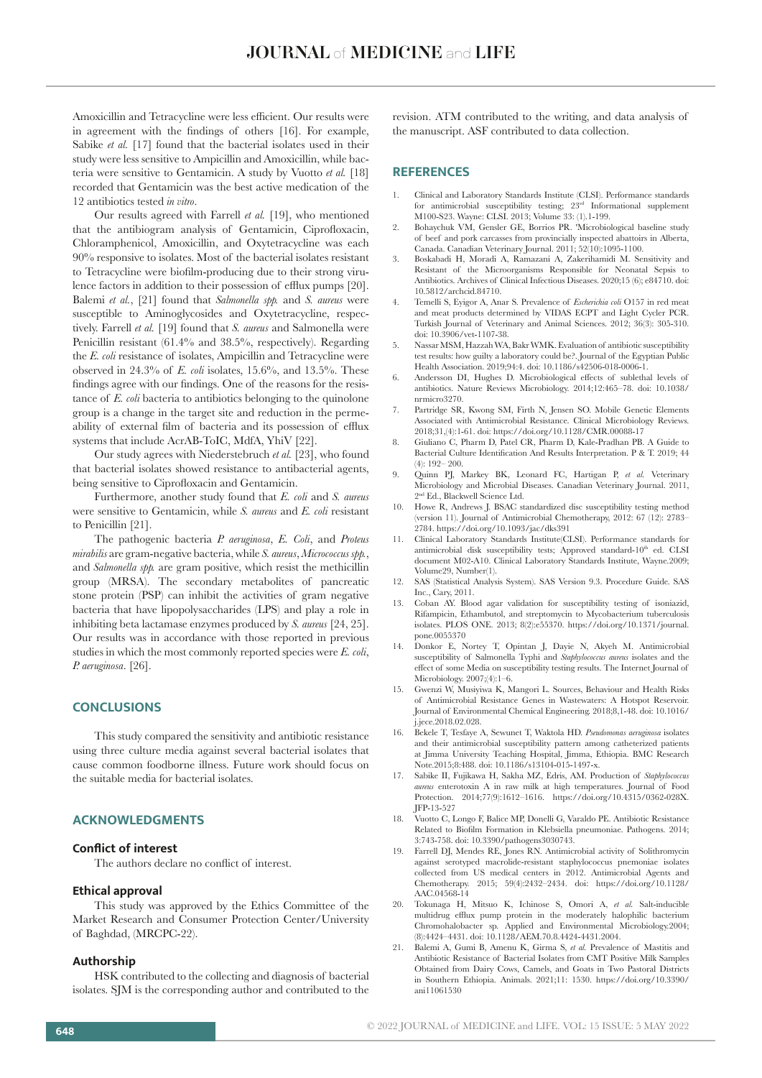Amoxicillin and Tetracycline were less efficient. Our results were in agreement with the findings of others [16]. For example, Sabike *et al.* [17] found that the bacterial isolates used in their study were less sensitive to Ampicillin and Amoxicillin, while bacteria were sensitive to Gentamicin. A study by Vuotto *et al.* [18] recorded that Gentamicin was the best active medication of the 12 antibiotics tested *in vitro*.

Our results agreed with Farrell *et al.* [19], who mentioned that the antibiogram analysis of Gentamicin, Ciprofloxacin, Chloramphenicol, Amoxicillin, and Oxytetracycline was each 90% responsive to isolates. Most of the bacterial isolates resistant to Tetracycline were biofilm-producing due to their strong virulence factors in addition to their possession of efflux pumps [20]. Balemi *et al.*, [21] found that *Salmonella spp.* and *S. aureus* were susceptible to Aminoglycosides and Oxytetracycline, respectively. Farrell *et al.* [19] found that *S. aureus* and Salmonella were Penicillin resistant (61.4% and 38.5%, respectively). Regarding the *E. coli* resistance of isolates, Ampicillin and Tetracycline were observed in 24.3% of *E. coli* isolates, 15.6%, and 13.5%. These findings agree with our findings. One of the reasons for the resistance of *E. coli* bacteria to antibiotics belonging to the quinolone group is a change in the target site and reduction in the permeability of external film of bacteria and its possession of efflux systems that include AcrAB-ToIC, MdfA, YhiV [22].

Our study agrees with Niederstebruch *et al.* [23], who found that bacterial isolates showed resistance to antibacterial agents, being sensitive to Ciprofloxacin and Gentamicin.

Furthermore, another study found that *E. coli* and *S. aureus* were sensitive to Gentamicin, while *S. aureus* and *E. coli* resistant to Penicillin [21].

The pathogenic bacteria *P. aeruginosa*, *E. Coli*, and *Proteus mirabilis* are gram-negative bacteria, while *S. aureus*, *Micrococcus spp.*, and *Salmonella spp.* are gram positive, which resist the methicillin group (MRSA). The secondary metabolites of pancreatic stone protein (PSP) can inhibit the activities of gram negative bacteria that have lipopolysaccharides (LPS) and play a role in inhibiting beta lactamase enzymes produced by *S. aureus* [24, 25]. Our results was in accordance with those reported in previous studies in which the most commonly reported species were *E. coli*, *P. aeruginosa*. [26].

# **CONCLUSIONS**

This study compared the sensitivity and antibiotic resistance using three culture media against several bacterial isolates that cause common foodborne illness. Future work should focus on the suitable media for bacterial isolates.

# **ACKNOWLEDGMENTS**

#### **Conflict of interest**

The authors declare no conflict of interest.

#### **Ethical approval**

This study was approved by the Ethics Committee of the Market Research and Consumer Protection Center/University of Baghdad, (MRCPC-22).

#### **Authorship**

HSK contributed to the collecting and diagnosis of bacterial isolates. SJM is the corresponding author and contributed to the revision. ATM contributed to the writing, and data analysis of the manuscript. ASF contributed to data collection.

#### **REFERENCES**

- 1. Clinical and Laboratory Standards Institute (CLSI). Performance standards for antimicrobial susceptibility testing;  $23<sup>rd</sup>$  Informational supplement M100-S23. Wayne: CLSI. 2013; Volume 33: (1).1-199.
- 2. Bohaychuk VM, Gensler GE, Borrios PR. 'Microbiological baseline study of beef and pork carcasses from provincially inspected abattoirs in Alberta, Canada. Canadian Veterinary Journal. 2011; 52(10):1095-1100.
- 3. Boskabadi H, Moradi A, Ramazani A, Zakerihamidi M. Sensitivity and Resistant of the Microorganisms Responsible for Neonatal Sepsis to Antibiotics. Archives of Clinical Infectious Diseases. 2020;15 (6); e84710. doi: 10.5812/archcid.84710.
- 4. Temelli S, Eyigor A, Anar S. Prevalence of *Escherichia coli* O157 in red meat and meat products determined by VIDAS ECPT and Light Cycler PCR. Turkish Journal of Veterinary and Animal Sciences. 2012; 36(3): 305-310. doi: 10.3906/vet-1107-38.
- 5. Nassar MSM, Hazzah WA, Bakr WMK. Evaluation of antibiotic susceptibility test results: how guilty a laboratory could be?. Journal of the Egyptian Public Health Association. 2019;94:4. doi: 10.1186/s42506-018-0006-1.
- 6. Andersson DI, Hughes D. Microbiological effects of sublethal levels of antibiotics. Nature Reviews Microbiology. 2014;12:465–78. doi: 10.1038/ nrmicro3270.
- 7. Partridge SR, Kwong SM, Firth N, Jensen SO. Mobile Genetic Elements Associated with Antimicrobial Resistance. Clinical Microbiology Reviews. 2018;31,(4):1-61. doi: https://doi.org/10.1128/CMR.00088-17
- 8. Giuliano C, Pharm D, Patel CR, Pharm D, Kale-Pradhan PB. A Guide to Bacterial Culture Identification And Results Interpretation. P & T. 2019; 44 (4): 192– 200.
- 9. Quinn PJ, Markey BK, Leonard FC, Hartigan P, *et al.* Veterinary Microbiology and Microbial Diseases. Canadian Veterinary Journal. 2011, 2nd Ed., Blackwell Science Ltd.
- 10. Howe R, Andrews J. BSAC standardized disc susceptibility testing method (version 11). Journal of Antimicrobial Chemotherapy, 2012: 67 (12): 2783– 2784. https://doi.org/10.1093/jac/dks391
- 11. Clinical Laboratory Standards Institute(CLSI). Performance standards for antimicrobial disk susceptibility tests; Approved standard-10<sup>th</sup> ed. CLSI document M02-A10. Clinical Laboratory Standards Institute, Wayne.2009; Volume29, Number(1).
- 12. SAS (Statistical Analysis System). SAS Version 9.3. Procedure Guide. SAS Inc., Cary, 2011.
- 13. Coban AY. Blood agar validation for susceptibility testing of isoniazid, Rifampicin, Ethambutol, and streptomycin to Mycobacterium tuberculosis isolates. PLOS ONE. 2013; 8(2):e55370. https://doi.org/10.1371/journal. pone.0055370
- 14. Donkor E, Nortey T, Opintan J, Dayie N, Akyeh M. Antimicrobial susceptibility of Salmonella Typhi and *Staphylococcus aureus* isolates and the effect of some Media on susceptibility testing results. The Internet Journal of Microbiology. 2007;(4):1–6.
- 15. Gwenzi W, Musiyiwa K, Mangori L. Sources, Behaviour and Health Risks of Antimicrobial Resistance Genes in Wastewaters: A Hotspot Reservoir. Journal of Environmental Chemical Engineering. 2018;8,1-48. doi: 10.1016/ j.jece.2018.02.028.
- 16. Bekele T, Tesfaye A, Sewunet T, Waktola HD. *Pseudomonas aeruginosa* isolates and their antimicrobial susceptibility pattern among catheterized patients at Jimma University Teaching Hospital, Jimma, Ethiopia. BMC Research Note.2015;8:488. doi: 10.1186/s13104-015-1497-x.
- 17. Sabike II, Fujikawa H, Sakha MZ, Edris, AM. Production of *Staphylococcus aureus* enterotoxin A in raw milk at high temperatures. Journal of Food Protection. 2014;77(9):1612–1616. https://doi.org/10.4315/0362-028X. JFP-13-527
- 18. Vuotto C, Longo F, Balice MP, Donelli G, Varaldo PE. Antibiotic Resistance Related to Biofilm Formation in Klebsiella pneumoniae. Pathogens. 2014; 3:743-758. doi: 10.3390/pathogens3030743.
- Farrell DJ, Mendes RE, Jones RN. Antimicrobial activity of Solithromycin against serotyped macrolide-resistant staphylococcus pnemoniae isolates collected from US medical centers in 2012. Antimicrobial Agents and Chemotherapy. 2015; 59(4):2432–2434. doi: https://doi.org/10.1128/ AAC.04568-14
- 20. Tokunaga H, Mitsuo K, Ichinose S, Omori A, *et al.* Salt-inducible multidrug efflux pump protein in the moderately halophilic bacterium Chromohalobacter sp. Applied and Environmental Microbiology.2004; (8):4424–4431. doi: 10.1128/AEM.70.8.4424-4431.2004.
- 21. Balemi A, Gumi B, Amenu K, Girma S, *et al.* Prevalence of Mastitis and Antibiotic Resistance of Bacterial Isolates from CMT Positive Milk Samples Obtained from Dairy Cows, Camels, and Goats in Two Pastoral Districts in Southern Ethiopia. Animals. 2021;11: 1530. https://doi.org/10.3390/ ani11061530